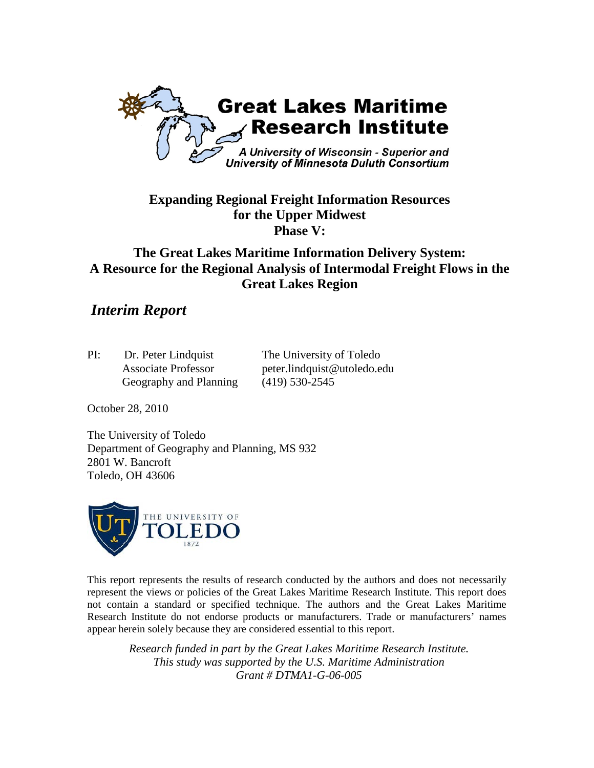

## **Expanding Regional Freight Information Resources for the Upper Midwest Phase V:**

# **The Great Lakes Maritime Information Delivery System: A Resource for the Regional Analysis of Intermodal Freight Flows in the Great Lakes Region**

# *Interim Report*

| PI: | Dr. Peter Lindquist        | The University of Toledo    |
|-----|----------------------------|-----------------------------|
|     | <b>Associate Professor</b> | peter.lindquist@utoledo.edu |
|     | Geography and Planning     | $(419)$ 530-2545            |

October 28, 2010

The University of Toledo Department of Geography and Planning, MS 932 2801 W. Bancroft Toledo, OH 43606



This report represents the results of research conducted by the authors and does not necessarily represent the views or policies of the Great Lakes Maritime Research Institute. This report does not contain a standard or specified technique. The authors and the Great Lakes Maritime Research Institute do not endorse products or manufacturers. Trade or manufacturers' names appear herein solely because they are considered essential to this report.

*Research funded in part by the Great Lakes Maritime Research Institute. This study was supported by the U.S. Maritime Administration Grant # DTMA1-G-06-005*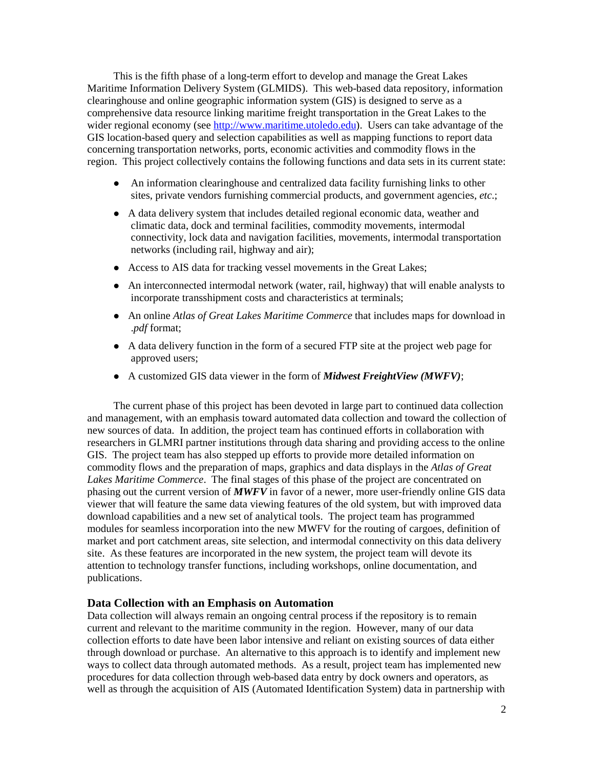This is the fifth phase of a long-term effort to develop and manage the Great Lakes Maritime Information Delivery System (GLMIDS). This web-based data repository, information clearinghouse and online geographic information system (GIS) is designed to serve as a comprehensive data resource linking maritime freight transportation in the Great Lakes to the wider regional economy (see [http://www.maritime.utoledo.edu\)](http://www.maritime.utoledo.edu/). Users can take advantage of the GIS location-based query and selection capabilities as well as mapping functions to report data concerning transportation networks, ports, economic activities and commodity flows in the region. This project collectively contains the following functions and data sets in its current state:

- An information clearinghouse and centralized data facility furnishing links to other sites, private vendors furnishing commercial products, and government agencies, *etc*.;
- A data delivery system that includes detailed regional economic data, weather and climatic data, dock and terminal facilities, commodity movements, intermodal connectivity, lock data and navigation facilities, movements, intermodal transportation networks (including rail, highway and air);
- Access to AIS data for tracking vessel movements in the Great Lakes;
- An interconnected intermodal network (water, rail, highway) that will enable analysts to incorporate transshipment costs and characteristics at terminals;
- An online *Atlas of Great Lakes Maritime Commerce* that includes maps for download in .*pdf* format;
- A data delivery function in the form of a secured FTP site at the project web page for approved users;
- A customized GIS data viewer in the form of *Midwest FreightView (MWFV)*;

The current phase of this project has been devoted in large part to continued data collection and management, with an emphasis toward automated data collection and toward the collection of new sources of data. In addition, the project team has continued efforts in collaboration with researchers in GLMRI partner institutions through data sharing and providing access to the online GIS. The project team has also stepped up efforts to provide more detailed information on commodity flows and the preparation of maps, graphics and data displays in the *Atlas of Great Lakes Maritime Commerce*. The final stages of this phase of the project are concentrated on phasing out the current version of *MWFV* in favor of a newer, more user-friendly online GIS data viewer that will feature the same data viewing features of the old system, but with improved data download capabilities and a new set of analytical tools. The project team has programmed modules for seamless incorporation into the new MWFV for the routing of cargoes, definition of market and port catchment areas, site selection, and intermodal connectivity on this data delivery site. As these features are incorporated in the new system, the project team will devote its attention to technology transfer functions, including workshops, online documentation, and publications.

### **Data Collection with an Emphasis on Automation**

Data collection will always remain an ongoing central process if the repository is to remain current and relevant to the maritime community in the region. However, many of our data collection efforts to date have been labor intensive and reliant on existing sources of data either through download or purchase. An alternative to this approach is to identify and implement new ways to collect data through automated methods. As a result, project team has implemented new procedures for data collection through web-based data entry by dock owners and operators, as well as through the acquisition of AIS (Automated Identification System) data in partnership with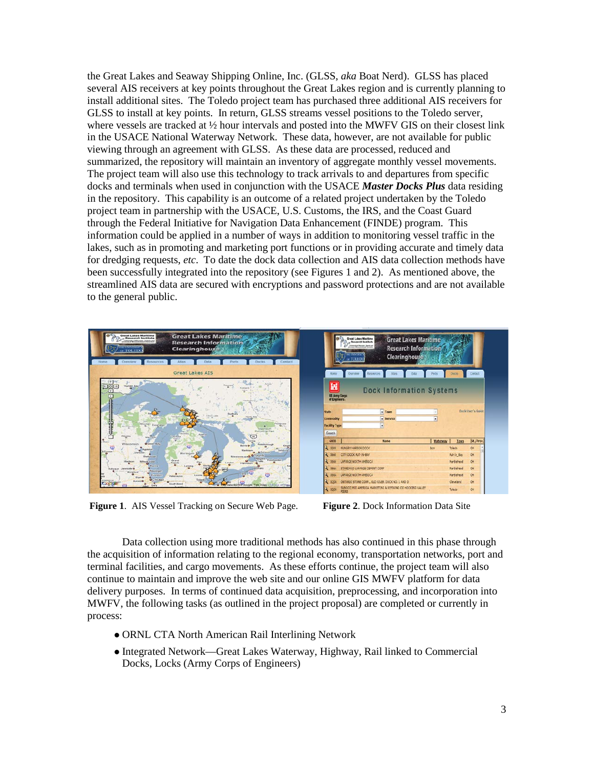the Great Lakes and Seaway Shipping Online, Inc. (GLSS, *aka* Boat Nerd). GLSS has placed several AIS receivers at key points throughout the Great Lakes region and is currently planning to install additional sites. The Toledo project team has purchased three additional AIS receivers for GLSS to install at key points. In return, GLSS streams vessel positions to the Toledo server, where vessels are tracked at  $\frac{1}{2}$  hour intervals and posted into the MWFV GIS on their closest link in the USACE National Waterway Network. These data, however, are not available for public viewing through an agreement with GLSS. As these data are processed, reduced and summarized, the repository will maintain an inventory of aggregate monthly vessel movements. The project team will also use this technology to track arrivals to and departures from specific docks and terminals when used in conjunction with the USACE *Master Docks Plus* data residing in the repository. This capability is an outcome of a related project undertaken by the Toledo project team in partnership with the USACE, U.S. Customs, the IRS, and the Coast Guard through the Federal Initiative for Navigation Data Enhancement (FINDE) program. This information could be applied in a number of ways in addition to monitoring vessel traffic in the lakes, such as in promoting and marketing port functions or in providing accurate and timely data for dredging requests, *etc*. To date the dock data collection and AIS data collection methods have been successfully integrated into the repository (see Figures 1 and 2). As mentioned above, the streamlined AIS data are secured with encryptions and password protections and are not available to the general public.



**Figure 1**. AIS Vessel Tracking on Secure Web Page. **Figure 2**. Dock Information Data Site

Data collection using more traditional methods has also continued in this phase through the acquisition of information relating to the regional economy, transportation networks, port and terminal facilities, and cargo movements. As these efforts continue, the project team will also continue to maintain and improve the web site and our online GIS MWFV platform for data delivery purposes. In terms of continued data acquisition, preprocessing, and incorporation into MWFV, the following tasks (as outlined in the project proposal) are completed or currently in process:

- ORNL CTA North American Rail Interlining Network
- Integrated Network—Great Lakes Waterway, Highway, Rail linked to Commercial Docks, Locks (Army Corps of Engineers)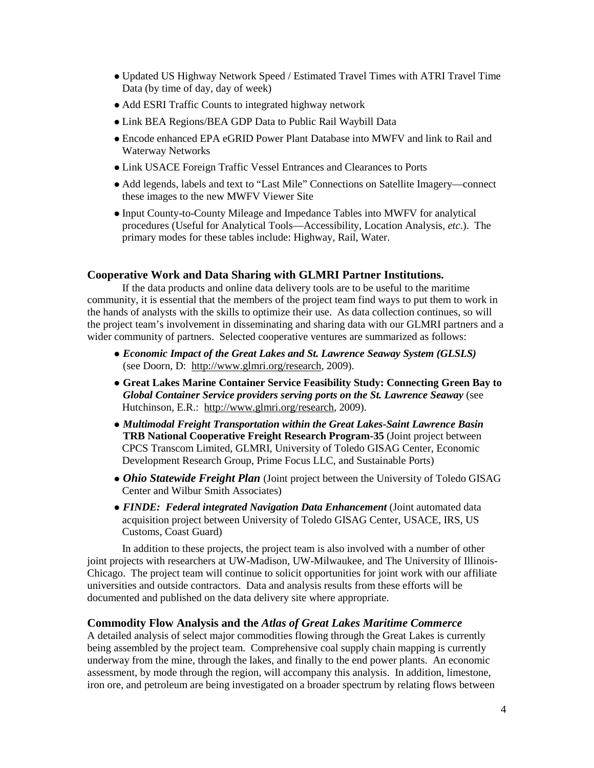- Updated US Highway Network Speed / Estimated Travel Times with ATRI Travel Time Data (by time of day, day of week)
- Add ESRI Traffic Counts to integrated highway network
- Link BEA Regions/BEA GDP Data to Public Rail Waybill Data
- Encode enhanced EPA eGRID Power Plant Database into MWFV and link to Rail and Waterway Networks
- Link USACE Foreign Traffic Vessel Entrances and Clearances to Ports
- Add legends, labels and text to "Last Mile" Connections on Satellite Imagery—connect these images to the new MWFV Viewer Site
- Input County-to-County Mileage and Impedance Tables into MWFV for analytical procedures (Useful for Analytical Tools—Accessibility, Location Analysis, *etc*.). The primary modes for these tables include: Highway, Rail, Water.

### **Cooperative Work and Data Sharing with GLMRI Partner Institutions.**

If the data products and online data delivery tools are to be useful to the maritime community, it is essential that the members of the project team find ways to put them to work in the hands of analysts with the skills to optimize their use. As data collection continues, so will the project team's involvement in disseminating and sharing data with our GLMRI partners and a wider community of partners. Selected cooperative ventures are summarized as follows:

- *Economic Impact of the Great Lakes and St. Lawrence Seaway System (GLSLS)* (see Doorn, D: http://www.glmri.org/research, 2009).
- **Great Lakes Marine Container Service Feasibility Study: Connecting Green Bay to**  *Global Container Service providers serving ports on the St. Lawrence Seaway* (see Hutchinson, E.R.: http://www.glmri.org/research, 2009).
- *Multimodal Freight Transportation within the Great Lakes-Saint Lawrence Basin* **TRB National Cooperative Freight Research Program-35** (Joint project between CPCS Transcom Limited, GLMRI, University of Toledo GISAG Center, Economic Development Research Group, Prime Focus LLC, and Sustainable Ports)
- *Ohio Statewide Freight Plan* (Joint project between the University of Toledo GISAG Center and Wilbur Smith Associates)
- *FINDE: Federal integrated Navigation Data Enhancement* (Joint automated data acquisition project between University of Toledo GISAG Center, USACE, IRS, US Customs, Coast Guard)

In addition to these projects, the project team is also involved with a number of other joint projects with researchers at UW-Madison, UW-Milwaukee, and The University of Illinois-Chicago. The project team will continue to solicit opportunities for joint work with our affiliate universities and outside contractors. Data and analysis results from these efforts will be documented and published on the data delivery site where appropriate.

#### **Commodity Flow Analysis and the** *Atlas of Great Lakes Maritime Commerce*

A detailed analysis of select major commodities flowing through the Great Lakes is currently being assembled by the project team. Comprehensive coal supply chain mapping is currently underway from the mine, through the lakes, and finally to the end power plants. An economic assessment, by mode through the region, will accompany this analysis. In addition, limestone, iron ore, and petroleum are being investigated on a broader spectrum by relating flows between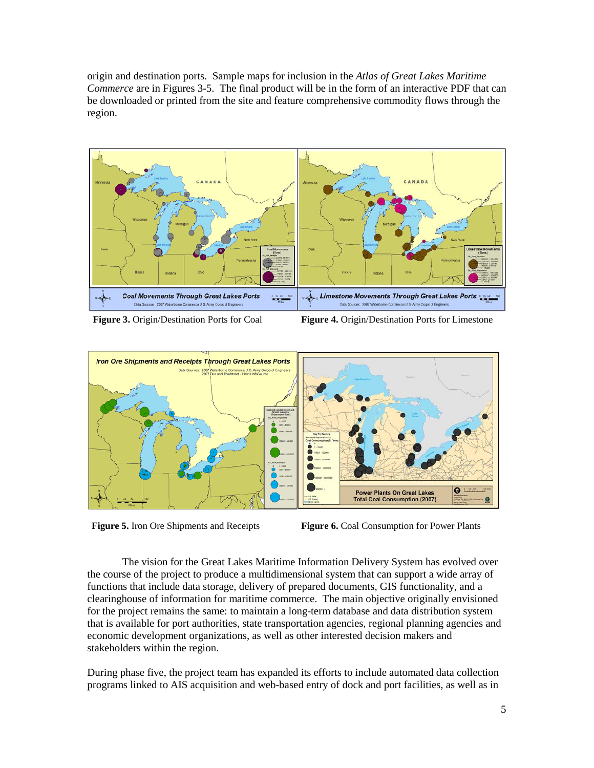origin and destination ports. Sample maps for inclusion in the *Atlas of Great Lakes Maritime Commerce* are in Figures 3-5. The final product will be in the form of an interactive PDF that can be downloaded or printed from the site and feature comprehensive commodity flows through the region.



**Figure 3.** Origin/Destination Ports for Coal **Figure 4.** Origin/Destination Ports for Limestone



**Figure 5.** Iron Ore Shipments and Receipts **Figure 6.** Coal Consumption for Power Plants

The vision for the Great Lakes Maritime Information Delivery System has evolved over the course of the project to produce a multidimensional system that can support a wide array of functions that include data storage, delivery of prepared documents, GIS functionality, and a clearinghouse of information for maritime commerce. The main objective originally envisioned for the project remains the same: to maintain a long-term database and data distribution system that is available for port authorities, state transportation agencies, regional planning agencies and economic development organizations, as well as other interested decision makers and stakeholders within the region.

During phase five, the project team has expanded its efforts to include automated data collection programs linked to AIS acquisition and web-based entry of dock and port facilities, as well as in